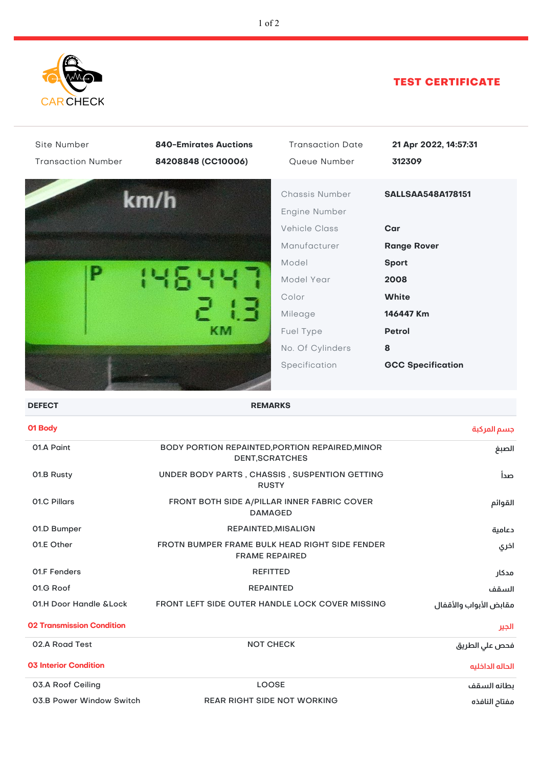

## TEST CERTIFICATE

| Site Number<br><b>Transaction Number</b> | <b>840-Emirates Auctions</b><br>84208848 (CC10006)                      | <b>Transaction Date</b><br>Queue Number                                                                                                                              | 21 Apr 2022, 14:57:31<br>312309                                                                                                                              |
|------------------------------------------|-------------------------------------------------------------------------|----------------------------------------------------------------------------------------------------------------------------------------------------------------------|--------------------------------------------------------------------------------------------------------------------------------------------------------------|
|                                          | km/h<br>KM                                                              | Chassis Number<br>Engine Number<br><b>Vehicle Class</b><br>Manufacturer<br>Model<br>Model Year<br>Color<br>Mileage<br>Fuel Type<br>No. Of Cylinders<br>Specification | <b>SALLSAA548A178151</b><br>Car<br><b>Range Rover</b><br><b>Sport</b><br>2008<br><b>White</b><br>146447 Km<br><b>Petrol</b><br>8<br><b>GCC Specification</b> |
| <b>DEFECT</b>                            | <b>REMARKS</b>                                                          |                                                                                                                                                                      |                                                                                                                                                              |
| 01 Body                                  |                                                                         |                                                                                                                                                                      | جسم المركبة                                                                                                                                                  |
| 01.A Paint                               | BODY PORTION REPAINTED, PORTION REPAIRED, MINOR<br>DENT, SCRATCHES      |                                                                                                                                                                      | الصبغ                                                                                                                                                        |
| 01.B Rusty                               | UNDER BODY PARTS, CHASSIS, SUSPENTION GETTING<br><b>RUSTY</b>           | صدأ                                                                                                                                                                  |                                                                                                                                                              |
| 01.C Pillars                             | FRONT BOTH SIDE A/PILLAR INNER FABRIC COVER<br><b>DAMAGED</b>           | القوائم                                                                                                                                                              |                                                                                                                                                              |
| 01.D Bumper                              | REPAINTED, MISALIGN                                                     |                                                                                                                                                                      | دعامية                                                                                                                                                       |
| 01.E Other                               | FROTN BUMPER FRAME BULK HEAD RIGHT SIDE FENDER<br><b>FRAME REPAIRED</b> |                                                                                                                                                                      | اخري                                                                                                                                                         |
| <b>01.F Fenders</b>                      | <b>REFITTED</b>                                                         |                                                                                                                                                                      | مدكار                                                                                                                                                        |
| 01.G Roof                                | <b>REPAINTED</b>                                                        |                                                                                                                                                                      | السقف                                                                                                                                                        |
| 01.H Door Handle & Lock                  | FRONT LEFT SIDE OUTER HANDLE LOCK COVER MISSING                         |                                                                                                                                                                      | مقابض الأبواب والأقفال                                                                                                                                       |
| 02 Tranemiecian Candition                |                                                                         |                                                                                                                                                                      |                                                                                                                                                              |

| <b>02 Transmission Condition</b> | الجير                              |                 |
|----------------------------------|------------------------------------|-----------------|
| 02.A Road Test                   | <b>NOT CHECK</b>                   | فحص على الطريق  |
| <b>03 Interior Condition</b>     |                                    | الحاله الداخليه |
| 03.A Roof Ceiling                | <b>LOOSE</b>                       | ىطانه السقف     |
| 03.B Power Window Switch         | <b>REAR RIGHT SIDE NOT WORKING</b> | مفتاد النافذه   |